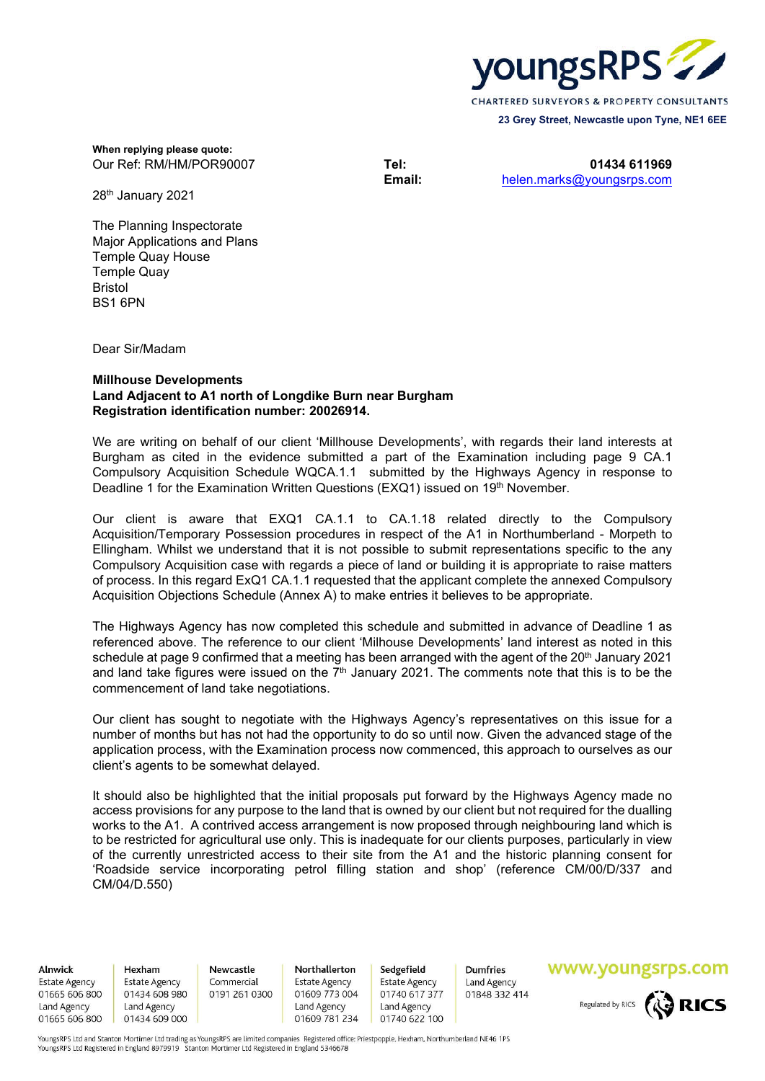

**When replying please quote:** Our Ref: RM/HM/POR90007 **Tel: 01434 611969**

**Email:** helen.marks@youngsrps.com

28th January 2021

The Planning Inspectorate Major Applications and Plans Temple Quay House Temple Quay Bristol BS1 6PN

Dear Sir/Madam

## **Millhouse Developments Land Adjacent to A1 north of Longdike Burn near Burgham Registration identification number: 20026914.**

We are writing on behalf of our client 'Millhouse Developments', with regards their land interests at Burgham as cited in the evidence submitted a part of the Examination including page 9 CA.1 Compulsory Acquisition Schedule WQCA.1.1 submitted by the Highways Agency in response to Deadline 1 for the Examination Written Questions (EXQ1) issued on 19th November.

Our client is aware that EXQ1 CA.1.1 to CA.1.18 related directly to the Compulsory Acquisition/Temporary Possession procedures in respect of the A1 in Northumberland - Morpeth to Ellingham. Whilst we understand that it is not possible to submit representations specific to the any Compulsory Acquisition case with regards a piece of land or building it is appropriate to raise matters of process. In this regard ExQ1 CA.1.1 requested that the applicant complete the annexed Compulsory Acquisition Objections Schedule (Annex A) to make entries it believes to be appropriate.

The Highways Agency has now completed this schedule and submitted in advance of Deadline 1 as referenced above. The reference to our client 'Milhouse Developments' land interest as noted in this schedule at page 9 confirmed that a meeting has been arranged with the agent of the 20<sup>th</sup> January 2021 and land take figures were issued on the  $7<sup>th</sup>$  January 2021. The comments note that this is to be the commencement of land take negotiations.

Our client has sought to negotiate with the Highways Agency's representatives on this issue for a number of months but has not had the opportunity to do so until now. Given the advanced stage of the application process, with the Examination process now commenced, this approach to ourselves as our client's agents to be somewhat delayed.

It should also be highlighted that the initial proposals put forward by the Highways Agency made no access provisions for any purpose to the land that is owned by our client but not required for the dualling works to the A1. A contrived access arrangement is now proposed through neighbouring land which is to be restricted for agricultural use only. This is inadequate for our clients purposes, particularly in view of the currently unrestricted access to their site from the A1 and the historic planning consent for 'Roadside service incorporating petrol filling station and shop' (reference CM/00/D/337 and CM/04/D.550)

Alnwick

**Estate Agency** 01665 606 800 Land Agency 01665 606 800

Hexham **Fstate Agency** 01434 608 980 Land Agency 01434 609 000

Newcastle Commercial 0191 261 0300

Northallerton **Estate Agency** 01609 773 004 Land Agency 01609 781 234

Sedgefield Estate Agency 01740 617 377 Land Agency 01740 622 100

**Dumfries** Land Agency 01848 332 414

## www.youngsrps.com



YoungsRPS Ltd and Stanton Mortimer Ltd trading as YoungsRPS are limited companies Registered office: Priestpopple, Hexham, Northumberland NE46 1PS YoungsRPS Ltd Registered in England 8979919 Stanton Mortimer Ltd Registered in England 5346678